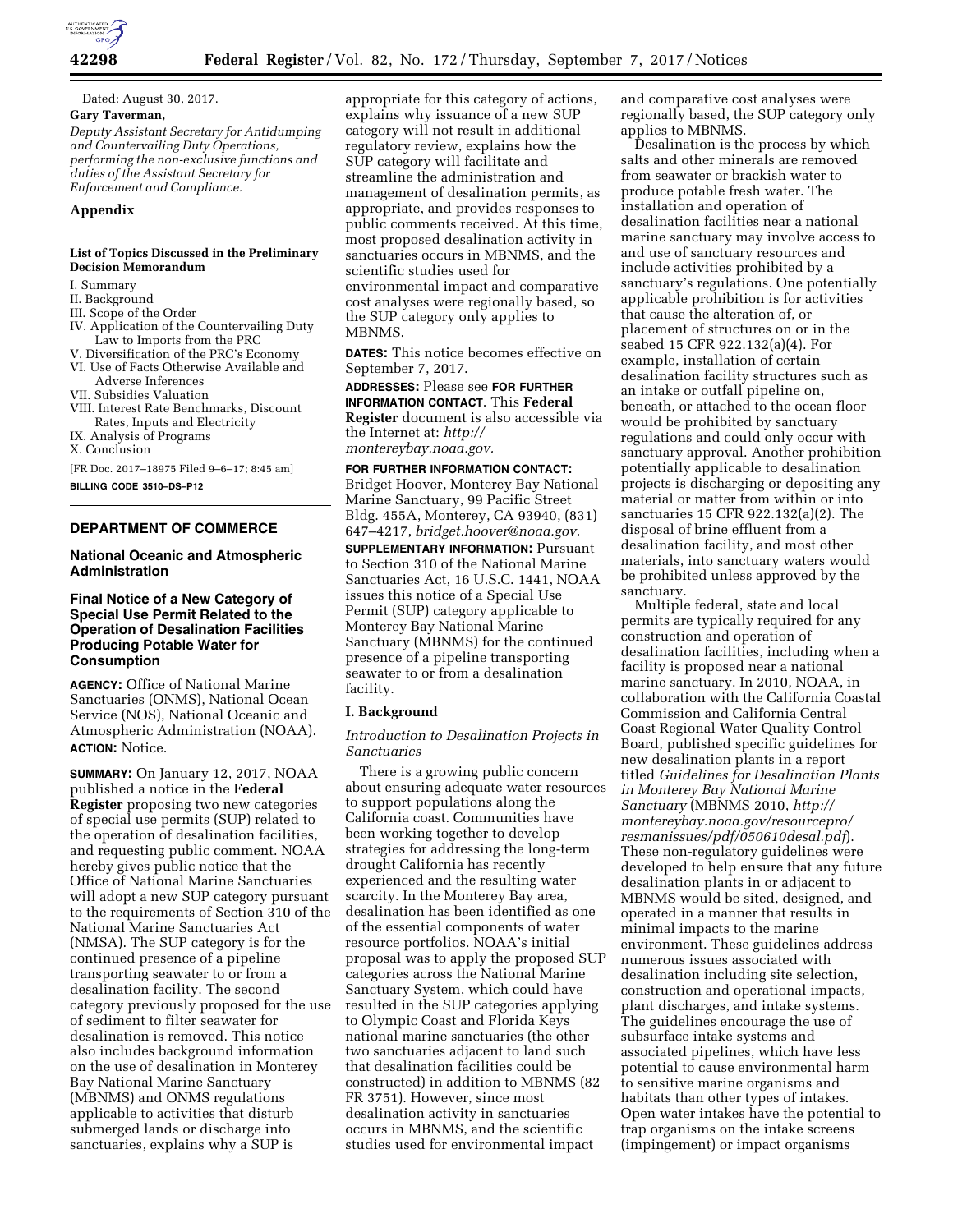

**42298 Federal Register** / Vol. 82, No. 172 / Thursday, September 7, 2017 / Notices

Dated: August 30, 2017. **Gary Taverman,** 

*Deputy Assistant Secretary for Antidumping and Countervailing Duty Operations, performing the non-exclusive functions and duties of the Assistant Secretary for Enforcement and Compliance.* 

## **Appendix**

### **List of Topics Discussed in the Preliminary Decision Memorandum**

- I. Summary
- II. Background
- III. Scope of the Order
- IV. Application of the Countervailing Duty Law to Imports from the PRC
- V. Diversification of the PRC's Economy VI. Use of Facts Otherwise Available and
- Adverse Inferences VII. Subsidies Valuation
- 
- VIII. Interest Rate Benchmarks, Discount Rates, Inputs and Electricity IX. Analysis of Programs
- 
- X. Conclusion

[FR Doc. 2017–18975 Filed 9–6–17; 8:45 am]

**BILLING CODE 3510–DS–P12** 

# **DEPARTMENT OF COMMERCE**

### **National Oceanic and Atmospheric Administration**

# **Final Notice of a New Category of Special Use Permit Related to the Operation of Desalination Facilities Producing Potable Water for Consumption**

**AGENCY:** Office of National Marine Sanctuaries (ONMS), National Ocean Service (NOS), National Oceanic and Atmospheric Administration (NOAA). **ACTION:** Notice.

**SUMMARY:** On January 12, 2017, NOAA published a notice in the **Federal Register** proposing two new categories of special use permits (SUP) related to the operation of desalination facilities, and requesting public comment. NOAA hereby gives public notice that the Office of National Marine Sanctuaries will adopt a new SUP category pursuant to the requirements of Section 310 of the National Marine Sanctuaries Act (NMSA). The SUP category is for the continued presence of a pipeline transporting seawater to or from a desalination facility. The second category previously proposed for the use of sediment to filter seawater for desalination is removed. This notice also includes background information on the use of desalination in Monterey Bay National Marine Sanctuary (MBNMS) and ONMS regulations applicable to activities that disturb submerged lands or discharge into sanctuaries, explains why a SUP is

appropriate for this category of actions, explains why issuance of a new SUP category will not result in additional regulatory review, explains how the SUP category will facilitate and streamline the administration and management of desalination permits, as appropriate, and provides responses to public comments received. At this time, most proposed desalination activity in sanctuaries occurs in MBNMS, and the scientific studies used for environmental impact and comparative cost analyses were regionally based, so the SUP category only applies to MBNMS.

**DATES:** This notice becomes effective on September 7, 2017.

**ADDRESSES:** Please see **FOR FURTHER INFORMATION CONTACT**. This **Federal Register** document is also accessible via the Internet at: *[http://](http://montereybay.noaa.gov) [montereybay.noaa.gov.](http://montereybay.noaa.gov)* 

## **FOR FURTHER INFORMATION CONTACT:**

Bridget Hoover, Monterey Bay National Marine Sanctuary, 99 Pacific Street Bldg. 455A, Monterey, CA 93940, (831) 647–4217, *[bridget.hoover@noaa.gov.](mailto:bridget.hoover@noaa.gov)* 

**SUPPLEMENTARY INFORMATION: Pursuant** to Section 310 of the National Marine Sanctuaries Act, 16 U.S.C. 1441, NOAA issues this notice of a Special Use Permit (SUP) category applicable to Monterey Bay National Marine Sanctuary (MBNMS) for the continued presence of a pipeline transporting seawater to or from a desalination facility.

## **I. Background**

*Introduction to Desalination Projects in Sanctuaries* 

There is a growing public concern about ensuring adequate water resources to support populations along the California coast. Communities have been working together to develop strategies for addressing the long-term drought California has recently experienced and the resulting water scarcity. In the Monterey Bay area, desalination has been identified as one of the essential components of water resource portfolios. NOAA's initial proposal was to apply the proposed SUP categories across the National Marine Sanctuary System, which could have resulted in the SUP categories applying to Olympic Coast and Florida Keys national marine sanctuaries (the other two sanctuaries adjacent to land such that desalination facilities could be constructed) in addition to MBNMS (82 FR 3751). However, since most desalination activity in sanctuaries occurs in MBNMS, and the scientific studies used for environmental impact

and comparative cost analyses were regionally based, the SUP category only applies to MBNMS.

Desalination is the process by which salts and other minerals are removed from seawater or brackish water to produce potable fresh water. The installation and operation of desalination facilities near a national marine sanctuary may involve access to and use of sanctuary resources and include activities prohibited by a sanctuary's regulations. One potentially applicable prohibition is for activities that cause the alteration of, or placement of structures on or in the seabed 15 CFR 922.132(a)(4). For example, installation of certain desalination facility structures such as an intake or outfall pipeline on, beneath, or attached to the ocean floor would be prohibited by sanctuary regulations and could only occur with sanctuary approval. Another prohibition potentially applicable to desalination projects is discharging or depositing any material or matter from within or into sanctuaries 15 CFR 922.132(a)(2). The disposal of brine effluent from a desalination facility, and most other materials, into sanctuary waters would be prohibited unless approved by the sanctuary.

Multiple federal, state and local permits are typically required for any construction and operation of desalination facilities, including when a facility is proposed near a national marine sanctuary. In 2010, NOAA, in collaboration with the California Coastal Commission and California Central Coast Regional Water Quality Control Board, published specific guidelines for new desalination plants in a report titled *Guidelines for Desalination Plants in Monterey Bay National Marine Sanctuary* (MBNMS 2010, *[http://](http://montereybay.noaa.gov/resourcepro/resmanissues/pdf/050610desal.pdf) [montereybay.noaa.gov/resourcepro/](http://montereybay.noaa.gov/resourcepro/resmanissues/pdf/050610desal.pdf) [resmanissues/pdf/050610desal.pdf](http://montereybay.noaa.gov/resourcepro/resmanissues/pdf/050610desal.pdf)*). These non-regulatory guidelines were developed to help ensure that any future desalination plants in or adjacent to MBNMS would be sited, designed, and operated in a manner that results in minimal impacts to the marine environment. These guidelines address numerous issues associated with desalination including site selection, construction and operational impacts, plant discharges, and intake systems. The guidelines encourage the use of subsurface intake systems and associated pipelines, which have less potential to cause environmental harm to sensitive marine organisms and habitats than other types of intakes. Open water intakes have the potential to trap organisms on the intake screens (impingement) or impact organisms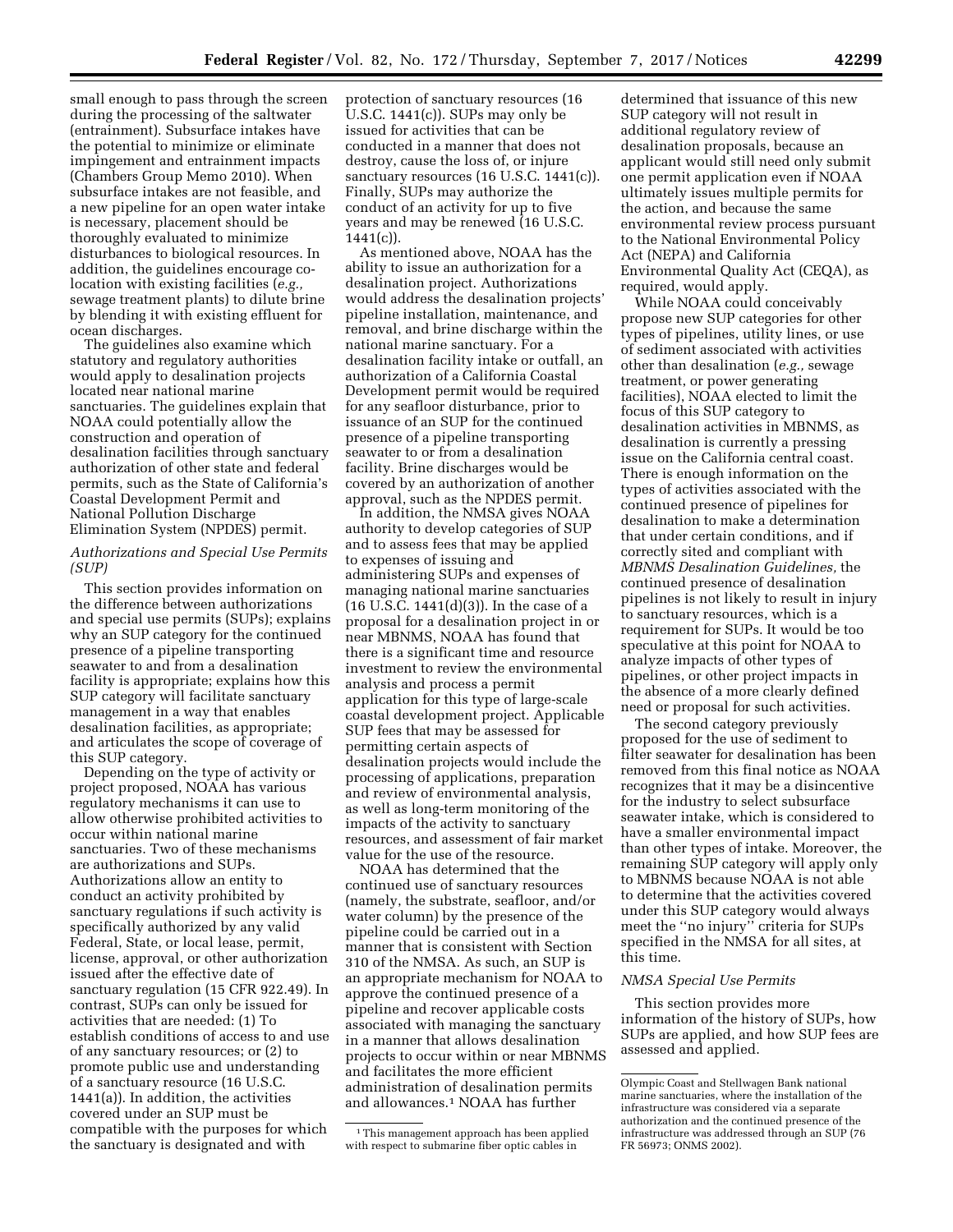small enough to pass through the screen during the processing of the saltwater (entrainment). Subsurface intakes have the potential to minimize or eliminate impingement and entrainment impacts (Chambers Group Memo 2010). When subsurface intakes are not feasible, and a new pipeline for an open water intake is necessary, placement should be thoroughly evaluated to minimize disturbances to biological resources. In addition, the guidelines encourage colocation with existing facilities (*e.g.,*  sewage treatment plants) to dilute brine by blending it with existing effluent for ocean discharges.

The guidelines also examine which statutory and regulatory authorities would apply to desalination projects located near national marine sanctuaries. The guidelines explain that NOAA could potentially allow the construction and operation of desalination facilities through sanctuary authorization of other state and federal permits, such as the State of California's Coastal Development Permit and National Pollution Discharge Elimination System (NPDES) permit.

# *Authorizations and Special Use Permits (SUP)*

This section provides information on the difference between authorizations and special use permits (SUPs); explains why an SUP category for the continued presence of a pipeline transporting seawater to and from a desalination facility is appropriate; explains how this SUP category will facilitate sanctuary management in a way that enables desalination facilities, as appropriate; and articulates the scope of coverage of this SUP category.

Depending on the type of activity or project proposed, NOAA has various regulatory mechanisms it can use to allow otherwise prohibited activities to occur within national marine sanctuaries. Two of these mechanisms are authorizations and SUPs. Authorizations allow an entity to conduct an activity prohibited by sanctuary regulations if such activity is specifically authorized by any valid Federal, State, or local lease, permit, license, approval, or other authorization issued after the effective date of sanctuary regulation (15 CFR 922.49). In contrast, SUPs can only be issued for activities that are needed: (1) To establish conditions of access to and use of any sanctuary resources; or (2) to promote public use and understanding of a sanctuary resource (16 U.S.C. 1441(a)). In addition, the activities covered under an SUP must be compatible with the purposes for which the sanctuary is designated and with

protection of sanctuary resources (16 U.S.C. 1441(c)). SUPs may only be issued for activities that can be conducted in a manner that does not destroy, cause the loss of, or injure sanctuary resources (16 U.S.C. 1441(c)). Finally, SUPs may authorize the conduct of an activity for up to five years and may be renewed (16 U.S.C.  $1441(c)$ ).

As mentioned above, NOAA has the ability to issue an authorization for a desalination project. Authorizations would address the desalination projects' pipeline installation, maintenance, and removal, and brine discharge within the national marine sanctuary. For a desalination facility intake or outfall, an authorization of a California Coastal Development permit would be required for any seafloor disturbance, prior to issuance of an SUP for the continued presence of a pipeline transporting seawater to or from a desalination facility. Brine discharges would be covered by an authorization of another approval, such as the NPDES permit.

In addition, the NMSA gives NOAA authority to develop categories of SUP and to assess fees that may be applied to expenses of issuing and administering SUPs and expenses of managing national marine sanctuaries (16 U.S.C. 1441(d)(3)). In the case of a proposal for a desalination project in or near MBNMS, NOAA has found that there is a significant time and resource investment to review the environmental analysis and process a permit application for this type of large-scale coastal development project. Applicable SUP fees that may be assessed for permitting certain aspects of desalination projects would include the processing of applications, preparation and review of environmental analysis, as well as long-term monitoring of the impacts of the activity to sanctuary resources, and assessment of fair market value for the use of the resource.

NOAA has determined that the continued use of sanctuary resources (namely, the substrate, seafloor, and/or water column) by the presence of the pipeline could be carried out in a manner that is consistent with Section 310 of the NMSA. As such, an SUP is an appropriate mechanism for NOAA to approve the continued presence of a pipeline and recover applicable costs associated with managing the sanctuary in a manner that allows desalination projects to occur within or near MBNMS and facilitates the more efficient administration of desalination permits and allowances.1 NOAA has further

1This management approach has been applied with respect to submarine fiber optic cables in

determined that issuance of this new SUP category will not result in additional regulatory review of desalination proposals, because an applicant would still need only submit one permit application even if NOAA ultimately issues multiple permits for the action, and because the same environmental review process pursuant to the National Environmental Policy Act (NEPA) and California Environmental Quality Act (CEQA), as required, would apply.

While NOAA could conceivably propose new SUP categories for other types of pipelines, utility lines, or use of sediment associated with activities other than desalination (*e.g.,* sewage treatment, or power generating facilities), NOAA elected to limit the focus of this SUP category to desalination activities in MBNMS, as desalination is currently a pressing issue on the California central coast. There is enough information on the types of activities associated with the continued presence of pipelines for desalination to make a determination that under certain conditions, and if correctly sited and compliant with *MBNMS Desalination Guidelines,* the continued presence of desalination pipelines is not likely to result in injury to sanctuary resources, which is a requirement for SUPs. It would be too speculative at this point for NOAA to analyze impacts of other types of pipelines, or other project impacts in the absence of a more clearly defined need or proposal for such activities.

The second category previously proposed for the use of sediment to filter seawater for desalination has been removed from this final notice as NOAA recognizes that it may be a disincentive for the industry to select subsurface seawater intake, which is considered to have a smaller environmental impact than other types of intake. Moreover, the remaining SUP category will apply only to MBNMS because NOAA is not able to determine that the activities covered under this SUP category would always meet the ''no injury'' criteria for SUPs specified in the NMSA for all sites, at this time.

#### *NMSA Special Use Permits*

This section provides more information of the history of SUPs, how SUPs are applied, and how SUP fees are assessed and applied.

Olympic Coast and Stellwagen Bank national marine sanctuaries, where the installation of the infrastructure was considered via a separate authorization and the continued presence of the infrastructure was addressed through an SUP (76 FR 56973; ONMS 2002).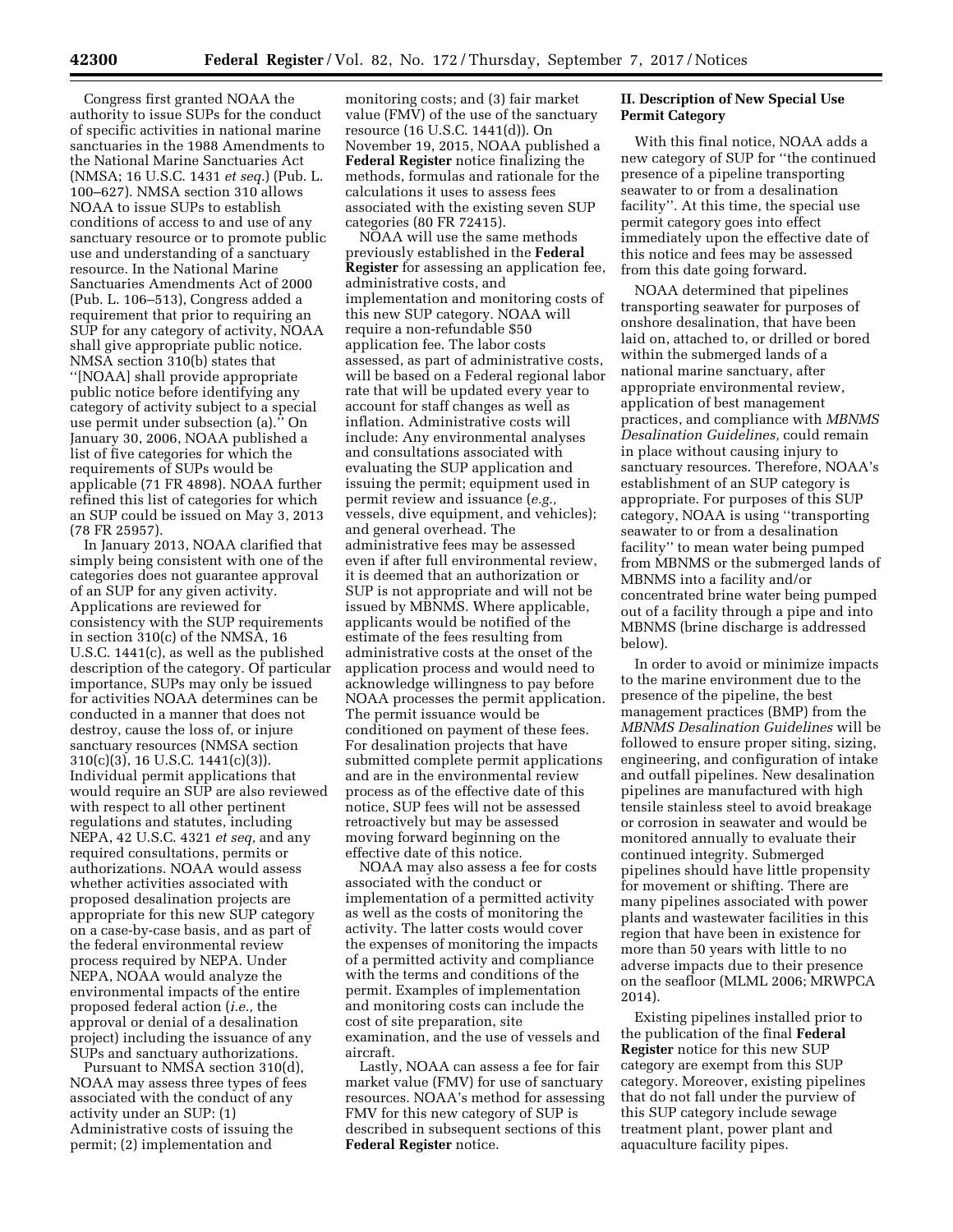Congress first granted NOAA the authority to issue SUPs for the conduct of specific activities in national marine sanctuaries in the 1988 Amendments to the National Marine Sanctuaries Act (NMSA; 16 U.S.C. 1431 *et seq.*) (Pub. L. 100–627). NMSA section 310 allows NOAA to issue SUPs to establish conditions of access to and use of any sanctuary resource or to promote public use and understanding of a sanctuary resource. In the National Marine Sanctuaries Amendments Act of 2000 (Pub. L. 106–513), Congress added a requirement that prior to requiring an SUP for any category of activity, NOAA shall give appropriate public notice. NMSA section 310(b) states that ''[NOAA] shall provide appropriate public notice before identifying any category of activity subject to a special use permit under subsection (a).'' On January 30, 2006, NOAA published a list of five categories for which the requirements of SUPs would be applicable (71 FR 4898). NOAA further refined this list of categories for which an SUP could be issued on May 3, 2013 (78 FR 25957).

In January 2013, NOAA clarified that simply being consistent with one of the categories does not guarantee approval of an SUP for any given activity. Applications are reviewed for consistency with the SUP requirements in section 310(c) of the NMSA, 16 U.S.C. 1441(c), as well as the published description of the category. Of particular importance, SUPs may only be issued for activities NOAA determines can be conducted in a manner that does not destroy, cause the loss of, or injure sanctuary resources (NMSA section 310(c)(3), 16 U.S.C. 1441(c)(3)). Individual permit applications that would require an SUP are also reviewed with respect to all other pertinent regulations and statutes, including NEPA, 42 U.S.C. 4321 *et seq,* and any required consultations, permits or authorizations. NOAA would assess whether activities associated with proposed desalination projects are appropriate for this new SUP category on a case-by-case basis, and as part of the federal environmental review process required by NEPA. Under NEPA, NOAA would analyze the environmental impacts of the entire proposed federal action (*i.e.,* the approval or denial of a desalination project) including the issuance of any SUPs and sanctuary authorizations.

Pursuant to NMSA section 310(d), NOAA may assess three types of fees associated with the conduct of any activity under an SUP: (1) Administrative costs of issuing the permit; (2) implementation and

monitoring costs; and (3) fair market value (FMV) of the use of the sanctuary resource (16 U.S.C. 1441(d)). On November 19, 2015, NOAA published a **Federal Register** notice finalizing the methods, formulas and rationale for the calculations it uses to assess fees associated with the existing seven SUP categories (80 FR 72415).

NOAA will use the same methods previously established in the **Federal Register** for assessing an application fee, administrative costs, and implementation and monitoring costs of this new SUP category. NOAA will require a non-refundable \$50 application fee. The labor costs assessed, as part of administrative costs, will be based on a Federal regional labor rate that will be updated every year to account for staff changes as well as inflation. Administrative costs will include: Any environmental analyses and consultations associated with evaluating the SUP application and issuing the permit; equipment used in permit review and issuance (*e.g.,*  vessels, dive equipment, and vehicles); and general overhead. The administrative fees may be assessed even if after full environmental review, it is deemed that an authorization or SUP is not appropriate and will not be issued by MBNMS. Where applicable, applicants would be notified of the estimate of the fees resulting from administrative costs at the onset of the application process and would need to acknowledge willingness to pay before NOAA processes the permit application. The permit issuance would be conditioned on payment of these fees. For desalination projects that have submitted complete permit applications and are in the environmental review process as of the effective date of this notice, SUP fees will not be assessed retroactively but may be assessed moving forward beginning on the effective date of this notice.

NOAA may also assess a fee for costs associated with the conduct or implementation of a permitted activity as well as the costs of monitoring the activity. The latter costs would cover the expenses of monitoring the impacts of a permitted activity and compliance with the terms and conditions of the permit. Examples of implementation and monitoring costs can include the cost of site preparation, site examination, and the use of vessels and aircraft.

Lastly, NOAA can assess a fee for fair market value (FMV) for use of sanctuary resources. NOAA's method for assessing FMV for this new category of SUP is described in subsequent sections of this **Federal Register** notice.

# **II. Description of New Special Use Permit Category**

With this final notice, NOAA adds a new category of SUP for ''the continued presence of a pipeline transporting seawater to or from a desalination facility''. At this time, the special use permit category goes into effect immediately upon the effective date of this notice and fees may be assessed from this date going forward.

NOAA determined that pipelines transporting seawater for purposes of onshore desalination, that have been laid on, attached to, or drilled or bored within the submerged lands of a national marine sanctuary, after appropriate environmental review, application of best management practices, and compliance with *MBNMS Desalination Guidelines,* could remain in place without causing injury to sanctuary resources. Therefore, NOAA's establishment of an SUP category is appropriate. For purposes of this SUP category, NOAA is using ''transporting seawater to or from a desalination facility'' to mean water being pumped from MBNMS or the submerged lands of MBNMS into a facility and/or concentrated brine water being pumped out of a facility through a pipe and into MBNMS (brine discharge is addressed below).

In order to avoid or minimize impacts to the marine environment due to the presence of the pipeline, the best management practices (BMP) from the *MBNMS Desalination Guidelines* will be followed to ensure proper siting, sizing, engineering, and configuration of intake and outfall pipelines. New desalination pipelines are manufactured with high tensile stainless steel to avoid breakage or corrosion in seawater and would be monitored annually to evaluate their continued integrity. Submerged pipelines should have little propensity for movement or shifting. There are many pipelines associated with power plants and wastewater facilities in this region that have been in existence for more than 50 years with little to no adverse impacts due to their presence on the seafloor (MLML 2006; MRWPCA 2014).

Existing pipelines installed prior to the publication of the final **Federal Register** notice for this new SUP category are exempt from this SUP category. Moreover, existing pipelines that do not fall under the purview of this SUP category include sewage treatment plant, power plant and aquaculture facility pipes.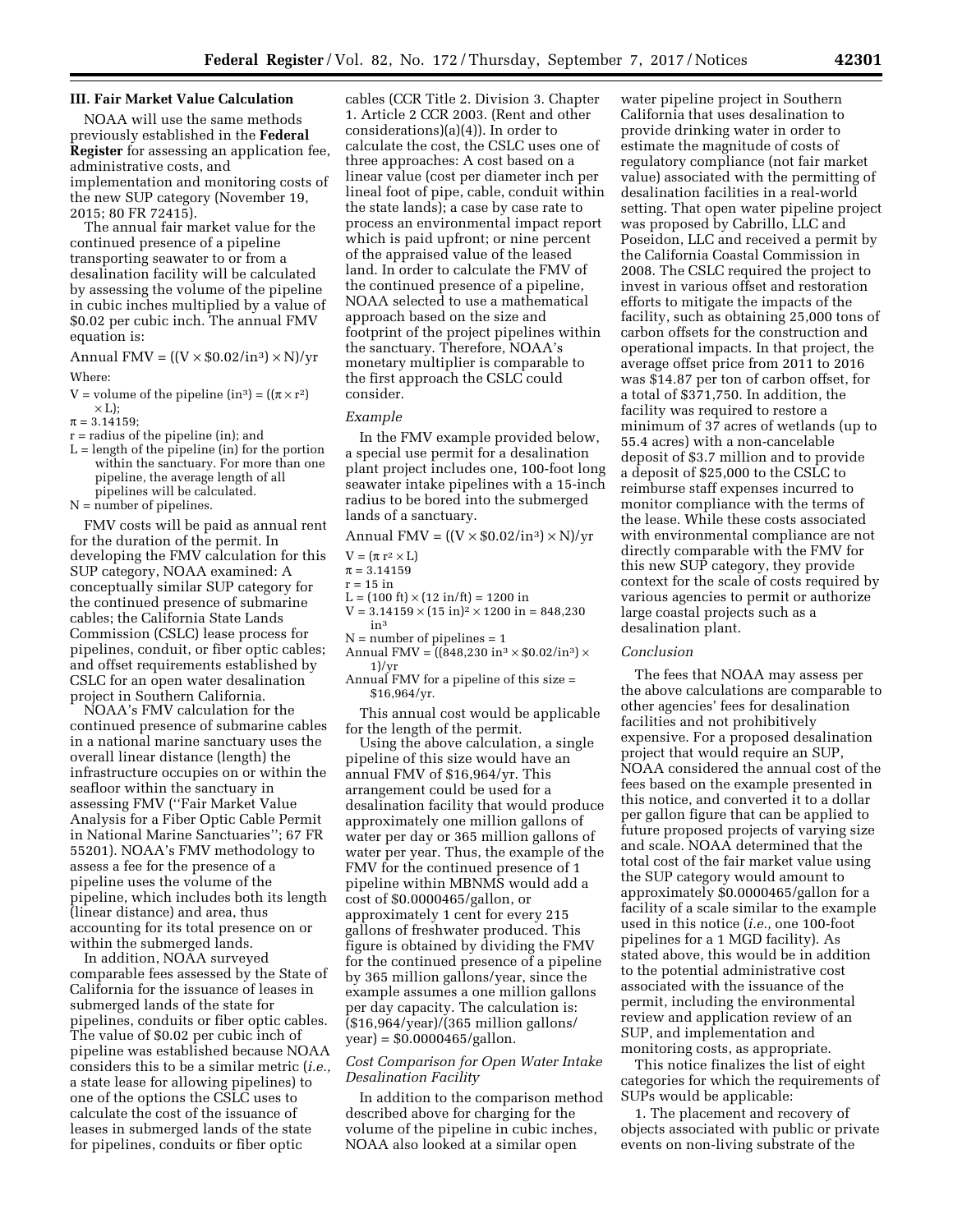## **III. Fair Market Value Calculation**

NOAA will use the same methods previously established in the **Federal Register** for assessing an application fee, administrative costs, and implementation and monitoring costs of the new SUP category (November 19, 2015; 80 FR 72415).

The annual fair market value for the continued presence of a pipeline transporting seawater to or from a desalination facility will be calculated by assessing the volume of the pipeline in cubic inches multiplied by a value of \$0.02 per cubic inch. The annual FMV equation is:

Annual FMV =  $((V \times $0.02/$ in<sup>3</sup>) × N $)/$ yr Where:

V = volume of the pipeline (in<sup>3</sup>) =  $((\pi \times r^2))$  $\times$  L) $\cdot$ 

 $\pi = 3.14159$ ;

- r = radius of the pipeline (in); and
- L = length of the pipeline (in) for the portion within the sanctuary. For more than one pipeline, the average length of all pipelines will be calculated.

 $N =$  number of pipelines.

FMV costs will be paid as annual rent for the duration of the permit. In developing the FMV calculation for this SUP category, NOAA examined: A conceptually similar SUP category for the continued presence of submarine cables; the California State Lands Commission (CSLC) lease process for pipelines, conduit, or fiber optic cables; and offset requirements established by CSLC for an open water desalination project in Southern California.

NOAA's FMV calculation for the continued presence of submarine cables in a national marine sanctuary uses the overall linear distance (length) the infrastructure occupies on or within the seafloor within the sanctuary in assessing FMV (''Fair Market Value Analysis for a Fiber Optic Cable Permit in National Marine Sanctuaries''; 67 FR 55201). NOAA's FMV methodology to assess a fee for the presence of a pipeline uses the volume of the pipeline, which includes both its length (linear distance) and area, thus accounting for its total presence on or within the submerged lands.

In addition, NOAA surveyed comparable fees assessed by the State of California for the issuance of leases in submerged lands of the state for pipelines, conduits or fiber optic cables. The value of \$0.02 per cubic inch of pipeline was established because NOAA considers this to be a similar metric (*i.e.,*  a state lease for allowing pipelines) to one of the options the CSLC uses to calculate the cost of the issuance of leases in submerged lands of the state for pipelines, conduits or fiber optic

cables (CCR Title 2. Division 3. Chapter 1. Article 2 CCR 2003. (Rent and other considerations)(a)(4)). In order to calculate the cost, the CSLC uses one of three approaches: A cost based on a linear value (cost per diameter inch per lineal foot of pipe, cable, conduit within the state lands); a case by case rate to process an environmental impact report which is paid upfront; or nine percent of the appraised value of the leased land. In order to calculate the FMV of the continued presence of a pipeline, NOAA selected to use a mathematical approach based on the size and footprint of the project pipelines within the sanctuary. Therefore, NOAA's monetary multiplier is comparable to the first approach the CSLC could consider.

### *Example*

In the FMV example provided below, a special use permit for a desalination plant project includes one, 100-foot long seawater intake pipelines with a 15-inch radius to be bored into the submerged lands of a sanctuary.

Annual FMV =  $((V \times $0.02/$ in<sup>3</sup>) × N $)/$ yr

```
V = (\pi r^2 \times L)
```
- $\pi = 3.14159$
- $r = 15$  in
- $L = (100 \text{ ft}) \times (12 \text{ in/ft}) = 1200 \text{ in}$
- $V = 3.14159 \times (15 \text{ in})^2 \times 1200 \text{ in} = 848,230$

in3 N = number of pipelines = 1

- Annual FMV =  $((848, 230 \text{ in}^3 \times $0.02/\text{in}^3) \times$  $1$ )/ $\rm{vr}$
- Annual FMV for a pipeline of this size = \$16,964/yr.

This annual cost would be applicable for the length of the permit.

Using the above calculation, a single pipeline of this size would have an annual FMV of \$16,964/yr. This arrangement could be used for a desalination facility that would produce approximately one million gallons of water per day or 365 million gallons of water per year. Thus, the example of the FMV for the continued presence of 1 pipeline within MBNMS would add a cost of \$0.0000465/gallon, or approximately 1 cent for every 215 gallons of freshwater produced. This figure is obtained by dividing the FMV for the continued presence of a pipeline by 365 million gallons/year, since the example assumes a one million gallons per day capacity. The calculation is: (\$16,964/year)/(365 million gallons/ year) = \$0.0000465/gallon.

# *Cost Comparison for Open Water Intake Desalination Facility*

In addition to the comparison method described above for charging for the volume of the pipeline in cubic inches, NOAA also looked at a similar open

water pipeline project in Southern California that uses desalination to provide drinking water in order to estimate the magnitude of costs of regulatory compliance (not fair market value) associated with the permitting of desalination facilities in a real-world setting. That open water pipeline project was proposed by Cabrillo, LLC and Poseidon, LLC and received a permit by the California Coastal Commission in 2008. The CSLC required the project to invest in various offset and restoration efforts to mitigate the impacts of the facility, such as obtaining 25,000 tons of carbon offsets for the construction and operational impacts. In that project, the average offset price from 2011 to 2016 was \$14.87 per ton of carbon offset, for a total of \$371,750. In addition, the facility was required to restore a minimum of 37 acres of wetlands (up to 55.4 acres) with a non-cancelable deposit of \$3.7 million and to provide a deposit of \$25,000 to the CSLC to reimburse staff expenses incurred to monitor compliance with the terms of the lease. While these costs associated with environmental compliance are not directly comparable with the FMV for this new SUP category, they provide context for the scale of costs required by various agencies to permit or authorize large coastal projects such as a desalination plant.

### *Conclusion*

The fees that NOAA may assess per the above calculations are comparable to other agencies' fees for desalination facilities and not prohibitively expensive. For a proposed desalination project that would require an SUP, NOAA considered the annual cost of the fees based on the example presented in this notice, and converted it to a dollar per gallon figure that can be applied to future proposed projects of varying size and scale. NOAA determined that the total cost of the fair market value using the SUP category would amount to approximately \$0.0000465/gallon for a facility of a scale similar to the example used in this notice (*i.e.,* one 100-foot pipelines for a 1 MGD facility). As stated above, this would be in addition to the potential administrative cost associated with the issuance of the permit, including the environmental review and application review of an SUP, and implementation and monitoring costs, as appropriate.

This notice finalizes the list of eight categories for which the requirements of SUPs would be applicable:

1. The placement and recovery of objects associated with public or private events on non-living substrate of the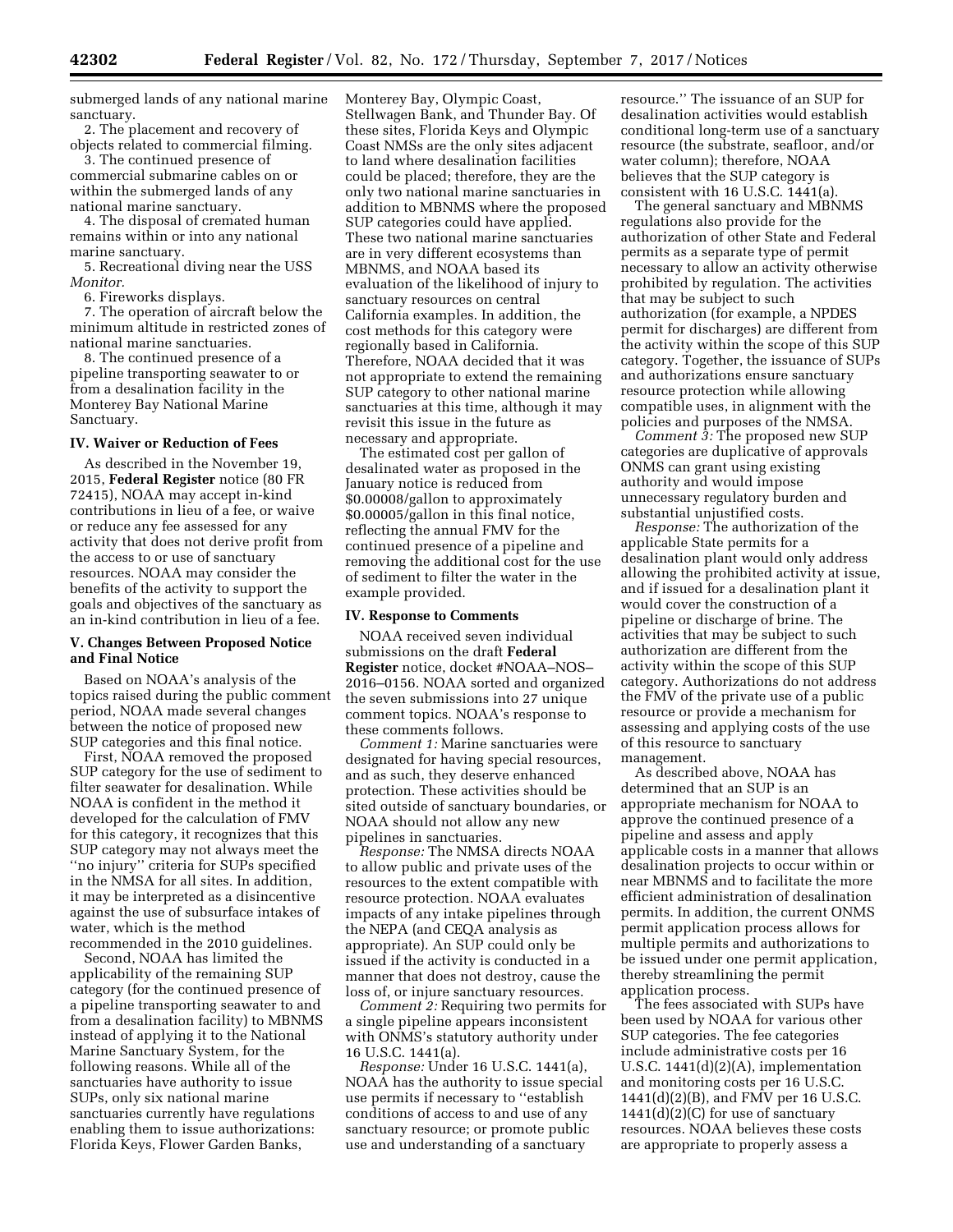submerged lands of any national marine sanctuary.

2. The placement and recovery of objects related to commercial filming. 3. The continued presence of commercial submarine cables on or within the submerged lands of any

national marine sanctuary. 4. The disposal of cremated human remains within or into any national marine sanctuary.

5. Recreational diving near the USS *Monitor.* 

6. Fireworks displays.

7. The operation of aircraft below the minimum altitude in restricted zones of national marine sanctuaries.

8. The continued presence of a pipeline transporting seawater to or from a desalination facility in the Monterey Bay National Marine Sanctuary.

### **IV. Waiver or Reduction of Fees**

As described in the November 19, 2015, **Federal Register** notice (80 FR 72415), NOAA may accept in-kind contributions in lieu of a fee, or waive or reduce any fee assessed for any activity that does not derive profit from the access to or use of sanctuary resources. NOAA may consider the benefits of the activity to support the goals and objectives of the sanctuary as an in-kind contribution in lieu of a fee.

### **V. Changes Between Proposed Notice and Final Notice**

Based on NOAA's analysis of the topics raised during the public comment period, NOAA made several changes between the notice of proposed new SUP categories and this final notice.

First, NOAA removed the proposed SUP category for the use of sediment to filter seawater for desalination. While NOAA is confident in the method it developed for the calculation of FMV for this category, it recognizes that this SUP category may not always meet the ''no injury'' criteria for SUPs specified in the NMSA for all sites. In addition, it may be interpreted as a disincentive against the use of subsurface intakes of water, which is the method recommended in the 2010 guidelines.

Second, NOAA has limited the applicability of the remaining SUP category (for the continued presence of a pipeline transporting seawater to and from a desalination facility) to MBNMS instead of applying it to the National Marine Sanctuary System, for the following reasons. While all of the sanctuaries have authority to issue SUPs, only six national marine sanctuaries currently have regulations enabling them to issue authorizations: Florida Keys, Flower Garden Banks,

Monterey Bay, Olympic Coast, Stellwagen Bank, and Thunder Bay. Of these sites, Florida Keys and Olympic Coast NMSs are the only sites adjacent to land where desalination facilities could be placed; therefore, they are the only two national marine sanctuaries in addition to MBNMS where the proposed SUP categories could have applied. These two national marine sanctuaries are in very different ecosystems than MBNMS, and NOAA based its evaluation of the likelihood of injury to sanctuary resources on central California examples. In addition, the cost methods for this category were regionally based in California. Therefore, NOAA decided that it was not appropriate to extend the remaining SUP category to other national marine sanctuaries at this time, although it may revisit this issue in the future as necessary and appropriate.

The estimated cost per gallon of desalinated water as proposed in the January notice is reduced from \$0.00008/gallon to approximately \$0.00005/gallon in this final notice, reflecting the annual FMV for the continued presence of a pipeline and removing the additional cost for the use of sediment to filter the water in the example provided.

#### **IV. Response to Comments**

NOAA received seven individual submissions on the draft **Federal Register** notice, docket #NOAA–NOS– 2016–0156. NOAA sorted and organized the seven submissions into 27 unique comment topics. NOAA's response to these comments follows.

*Comment 1:* Marine sanctuaries were designated for having special resources, and as such, they deserve enhanced protection. These activities should be sited outside of sanctuary boundaries, or NOAA should not allow any new pipelines in sanctuaries.

*Response:* The NMSA directs NOAA to allow public and private uses of the resources to the extent compatible with resource protection. NOAA evaluates impacts of any intake pipelines through the NEPA (and CEQA analysis as appropriate). An SUP could only be issued if the activity is conducted in a manner that does not destroy, cause the loss of, or injure sanctuary resources.

*Comment 2:* Requiring two permits for a single pipeline appears inconsistent with ONMS's statutory authority under 16 U.S.C. 1441(a).

*Response:* Under 16 U.S.C. 1441(a), NOAA has the authority to issue special use permits if necessary to ''establish conditions of access to and use of any sanctuary resource; or promote public use and understanding of a sanctuary

resource.'' The issuance of an SUP for desalination activities would establish conditional long-term use of a sanctuary resource (the substrate, seafloor, and/or water column); therefore, NOAA believes that the SUP category is consistent with 16 U.S.C. 1441(a).

The general sanctuary and MBNMS regulations also provide for the authorization of other State and Federal permits as a separate type of permit necessary to allow an activity otherwise prohibited by regulation. The activities that may be subject to such authorization (for example, a NPDES permit for discharges) are different from the activity within the scope of this SUP category. Together, the issuance of SUPs and authorizations ensure sanctuary resource protection while allowing compatible uses, in alignment with the policies and purposes of the NMSA.

*Comment 3:* The proposed new SUP categories are duplicative of approvals ONMS can grant using existing authority and would impose unnecessary regulatory burden and substantial unjustified costs.

*Response:* The authorization of the applicable State permits for a desalination plant would only address allowing the prohibited activity at issue, and if issued for a desalination plant it would cover the construction of a pipeline or discharge of brine. The activities that may be subject to such authorization are different from the activity within the scope of this SUP category. Authorizations do not address the FMV of the private use of a public resource or provide a mechanism for assessing and applying costs of the use of this resource to sanctuary management.

As described above, NOAA has determined that an SUP is an appropriate mechanism for NOAA to approve the continued presence of a pipeline and assess and apply applicable costs in a manner that allows desalination projects to occur within or near MBNMS and to facilitate the more efficient administration of desalination permits. In addition, the current ONMS permit application process allows for multiple permits and authorizations to be issued under one permit application, thereby streamlining the permit application process.

The fees associated with SUPs have been used by NOAA for various other SUP categories. The fee categories include administrative costs per 16 U.S.C. 1441(d)(2)(A), implementation and monitoring costs per 16 U.S.C. 1441(d)(2)(B), and FMV per 16 U.S.C.  $1441(d)(2)(C)$  for use of sanctuary resources. NOAA believes these costs are appropriate to properly assess a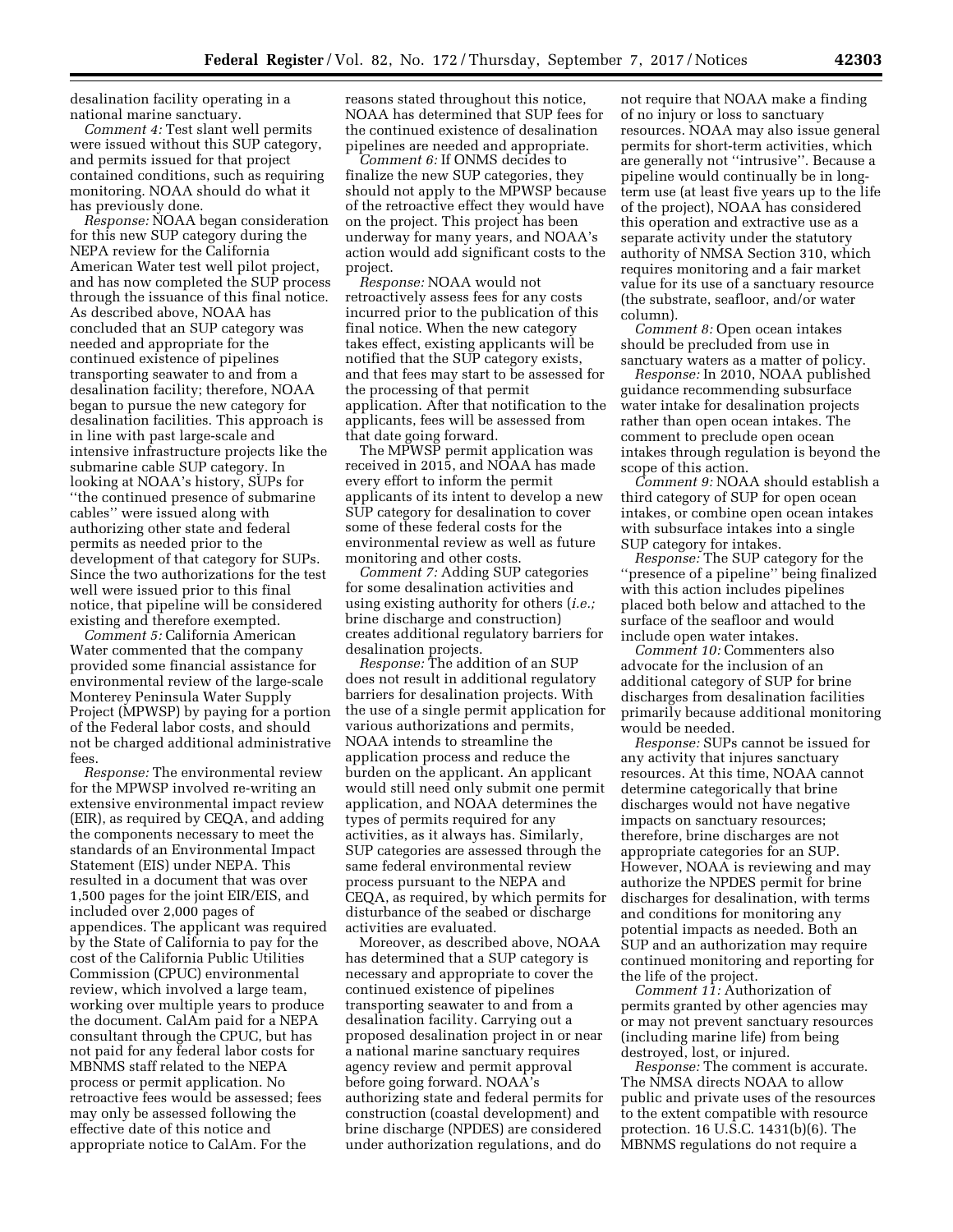desalination facility operating in a national marine sanctuary.

*Comment 4:* Test slant well permits were issued without this SUP category, and permits issued for that project contained conditions, such as requiring monitoring. NOAA should do what it has previously done.

*Response:* NOAA began consideration for this new SUP category during the NEPA review for the California American Water test well pilot project, and has now completed the SUP process through the issuance of this final notice. As described above, NOAA has concluded that an SUP category was needed and appropriate for the continued existence of pipelines transporting seawater to and from a desalination facility; therefore, NOAA began to pursue the new category for desalination facilities. This approach is in line with past large-scale and intensive infrastructure projects like the submarine cable SUP category. In looking at NOAA's history, SUPs for ''the continued presence of submarine cables'' were issued along with authorizing other state and federal permits as needed prior to the development of that category for SUPs. Since the two authorizations for the test well were issued prior to this final notice, that pipeline will be considered existing and therefore exempted.

*Comment 5:* California American Water commented that the company provided some financial assistance for environmental review of the large-scale Monterey Peninsula Water Supply Project (MPWSP) by paying for a portion of the Federal labor costs, and should not be charged additional administrative fees.

*Response:* The environmental review for the MPWSP involved re-writing an extensive environmental impact review (EIR), as required by CEQA, and adding the components necessary to meet the standards of an Environmental Impact Statement (EIS) under NEPA. This resulted in a document that was over 1,500 pages for the joint EIR/EIS, and included over 2,000 pages of appendices. The applicant was required by the State of California to pay for the cost of the California Public Utilities Commission (CPUC) environmental review, which involved a large team, working over multiple years to produce the document. CalAm paid for a NEPA consultant through the CPUC, but has not paid for any federal labor costs for MBNMS staff related to the NEPA process or permit application. No retroactive fees would be assessed; fees may only be assessed following the effective date of this notice and appropriate notice to CalAm. For the

reasons stated throughout this notice, NOAA has determined that SUP fees for the continued existence of desalination pipelines are needed and appropriate.

*Comment 6:* If ONMS decides to finalize the new SUP categories, they should not apply to the MPWSP because of the retroactive effect they would have on the project. This project has been underway for many years, and NOAA's action would add significant costs to the project.

*Response:* NOAA would not retroactively assess fees for any costs incurred prior to the publication of this final notice. When the new category takes effect, existing applicants will be notified that the SUP category exists, and that fees may start to be assessed for the processing of that permit application. After that notification to the applicants, fees will be assessed from that date going forward.

The MPWSP permit application was received in 2015, and NOAA has made every effort to inform the permit applicants of its intent to develop a new SUP category for desalination to cover some of these federal costs for the environmental review as well as future monitoring and other costs.

*Comment 7:* Adding SUP categories for some desalination activities and using existing authority for others (*i.e.;*  brine discharge and construction) creates additional regulatory barriers for desalination projects.

*Response:* The addition of an SUP does not result in additional regulatory barriers for desalination projects. With the use of a single permit application for various authorizations and permits, NOAA intends to streamline the application process and reduce the burden on the applicant. An applicant would still need only submit one permit application, and NOAA determines the types of permits required for any activities, as it always has. Similarly, SUP categories are assessed through the same federal environmental review process pursuant to the NEPA and CEQA, as required, by which permits for disturbance of the seabed or discharge activities are evaluated.

Moreover, as described above, NOAA has determined that a SUP category is necessary and appropriate to cover the continued existence of pipelines transporting seawater to and from a desalination facility. Carrying out a proposed desalination project in or near a national marine sanctuary requires agency review and permit approval before going forward. NOAA's authorizing state and federal permits for construction (coastal development) and brine discharge (NPDES) are considered under authorization regulations, and do

not require that NOAA make a finding of no injury or loss to sanctuary resources. NOAA may also issue general permits for short-term activities, which are generally not ''intrusive''. Because a pipeline would continually be in longterm use (at least five years up to the life of the project), NOAA has considered this operation and extractive use as a separate activity under the statutory authority of NMSA Section 310, which requires monitoring and a fair market value for its use of a sanctuary resource (the substrate, seafloor, and/or water column).

*Comment 8:* Open ocean intakes should be precluded from use in sanctuary waters as a matter of policy.

*Response:* In 2010, NOAA published guidance recommending subsurface water intake for desalination projects rather than open ocean intakes. The comment to preclude open ocean intakes through regulation is beyond the scope of this action.

*Comment 9:* NOAA should establish a third category of SUP for open ocean intakes, or combine open ocean intakes with subsurface intakes into a single SUP category for intakes.

*Response:* The SUP category for the ''presence of a pipeline'' being finalized with this action includes pipelines placed both below and attached to the surface of the seafloor and would include open water intakes.

*Comment 10:* Commenters also advocate for the inclusion of an additional category of SUP for brine discharges from desalination facilities primarily because additional monitoring would be needed.

*Response:* SUPs cannot be issued for any activity that injures sanctuary resources. At this time, NOAA cannot determine categorically that brine discharges would not have negative impacts on sanctuary resources; therefore, brine discharges are not appropriate categories for an SUP. However, NOAA is reviewing and may authorize the NPDES permit for brine discharges for desalination, with terms and conditions for monitoring any potential impacts as needed. Both an SUP and an authorization may require continued monitoring and reporting for the life of the project.

*Comment 11:* Authorization of permits granted by other agencies may or may not prevent sanctuary resources (including marine life) from being destroyed, lost, or injured.

*Response:* The comment is accurate. The NMSA directs NOAA to allow public and private uses of the resources to the extent compatible with resource protection. 16 U.S.C. 1431(b)(6). The MBNMS regulations do not require a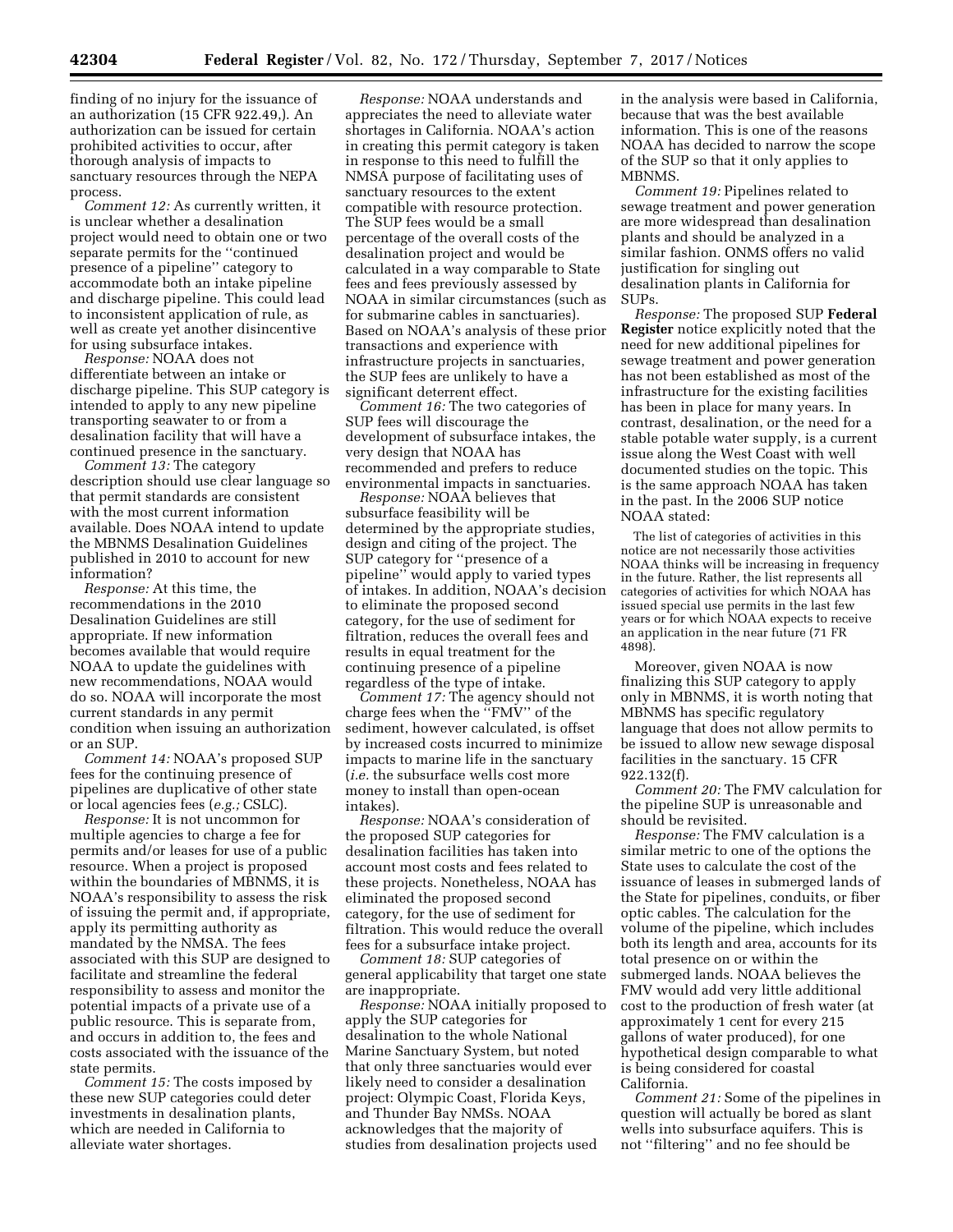finding of no injury for the issuance of an authorization (15 CFR 922.49,). An authorization can be issued for certain prohibited activities to occur, after thorough analysis of impacts to sanctuary resources through the NEPA process.

*Comment 12:* As currently written, it is unclear whether a desalination project would need to obtain one or two separate permits for the ''continued presence of a pipeline'' category to accommodate both an intake pipeline and discharge pipeline. This could lead to inconsistent application of rule, as well as create yet another disincentive for using subsurface intakes.

*Response:* NOAA does not differentiate between an intake or discharge pipeline. This SUP category is intended to apply to any new pipeline transporting seawater to or from a desalination facility that will have a continued presence in the sanctuary.

*Comment 13:* The category description should use clear language so that permit standards are consistent with the most current information available. Does NOAA intend to update the MBNMS Desalination Guidelines published in 2010 to account for new information?

*Response:* At this time, the recommendations in the 2010 Desalination Guidelines are still appropriate. If new information becomes available that would require NOAA to update the guidelines with new recommendations, NOAA would do so. NOAA will incorporate the most current standards in any permit condition when issuing an authorization or an SUP.

*Comment 14:* NOAA's proposed SUP fees for the continuing presence of pipelines are duplicative of other state or local agencies fees (*e.g.;* CSLC).

*Response:* It is not uncommon for multiple agencies to charge a fee for permits and/or leases for use of a public resource. When a project is proposed within the boundaries of MBNMS, it is NOAA's responsibility to assess the risk of issuing the permit and, if appropriate, apply its permitting authority as mandated by the NMSA. The fees associated with this SUP are designed to facilitate and streamline the federal responsibility to assess and monitor the potential impacts of a private use of a public resource. This is separate from, and occurs in addition to, the fees and costs associated with the issuance of the state permits.

*Comment 15:* The costs imposed by these new SUP categories could deter investments in desalination plants, which are needed in California to alleviate water shortages.

*Response:* NOAA understands and appreciates the need to alleviate water shortages in California. NOAA's action in creating this permit category is taken in response to this need to fulfill the NMSA purpose of facilitating uses of sanctuary resources to the extent compatible with resource protection. The SUP fees would be a small percentage of the overall costs of the desalination project and would be calculated in a way comparable to State fees and fees previously assessed by NOAA in similar circumstances (such as for submarine cables in sanctuaries). Based on NOAA's analysis of these prior transactions and experience with infrastructure projects in sanctuaries, the SUP fees are unlikely to have a significant deterrent effect.

*Comment 16:* The two categories of SUP fees will discourage the development of subsurface intakes, the very design that NOAA has recommended and prefers to reduce environmental impacts in sanctuaries.

*Response:* NOAA believes that subsurface feasibility will be determined by the appropriate studies, design and citing of the project. The SUP category for ''presence of a pipeline'' would apply to varied types of intakes. In addition, NOAA's decision to eliminate the proposed second category, for the use of sediment for filtration, reduces the overall fees and results in equal treatment for the continuing presence of a pipeline regardless of the type of intake.

*Comment 17:* The agency should not charge fees when the ''FMV'' of the sediment, however calculated, is offset by increased costs incurred to minimize impacts to marine life in the sanctuary (*i.e.* the subsurface wells cost more money to install than open-ocean intakes).

*Response:* NOAA's consideration of the proposed SUP categories for desalination facilities has taken into account most costs and fees related to these projects. Nonetheless, NOAA has eliminated the proposed second category, for the use of sediment for filtration. This would reduce the overall fees for a subsurface intake project.

*Comment 18:* SUP categories of general applicability that target one state are inappropriate.

*Response:* NOAA initially proposed to apply the SUP categories for desalination to the whole National Marine Sanctuary System, but noted that only three sanctuaries would ever likely need to consider a desalination project: Olympic Coast, Florida Keys, and Thunder Bay NMSs. NOAA acknowledges that the majority of studies from desalination projects used

in the analysis were based in California, because that was the best available information. This is one of the reasons NOAA has decided to narrow the scope of the SUP so that it only applies to MBNMS.

*Comment 19:* Pipelines related to sewage treatment and power generation are more widespread than desalination plants and should be analyzed in a similar fashion. ONMS offers no valid justification for singling out desalination plants in California for SUPs.

*Response:* The proposed SUP **Federal Register** notice explicitly noted that the need for new additional pipelines for sewage treatment and power generation has not been established as most of the infrastructure for the existing facilities has been in place for many years. In contrast, desalination, or the need for a stable potable water supply, is a current issue along the West Coast with well documented studies on the topic. This is the same approach NOAA has taken in the past. In the 2006 SUP notice NOAA stated:

The list of categories of activities in this notice are not necessarily those activities NOAA thinks will be increasing in frequency in the future. Rather, the list represents all categories of activities for which NOAA has issued special use permits in the last few years or for which NOAA expects to receive an application in the near future (71 FR 4898).

Moreover, given NOAA is now finalizing this SUP category to apply only in MBNMS, it is worth noting that MBNMS has specific regulatory language that does not allow permits to be issued to allow new sewage disposal facilities in the sanctuary. 15 CFR 922.132(f).

*Comment 20:* The FMV calculation for the pipeline SUP is unreasonable and should be revisited.

*Response:* The FMV calculation is a similar metric to one of the options the State uses to calculate the cost of the issuance of leases in submerged lands of the State for pipelines, conduits, or fiber optic cables. The calculation for the volume of the pipeline, which includes both its length and area, accounts for its total presence on or within the submerged lands. NOAA believes the FMV would add very little additional cost to the production of fresh water (at approximately 1 cent for every 215 gallons of water produced), for one hypothetical design comparable to what is being considered for coastal California.

*Comment 21:* Some of the pipelines in question will actually be bored as slant wells into subsurface aquifers. This is not ''filtering'' and no fee should be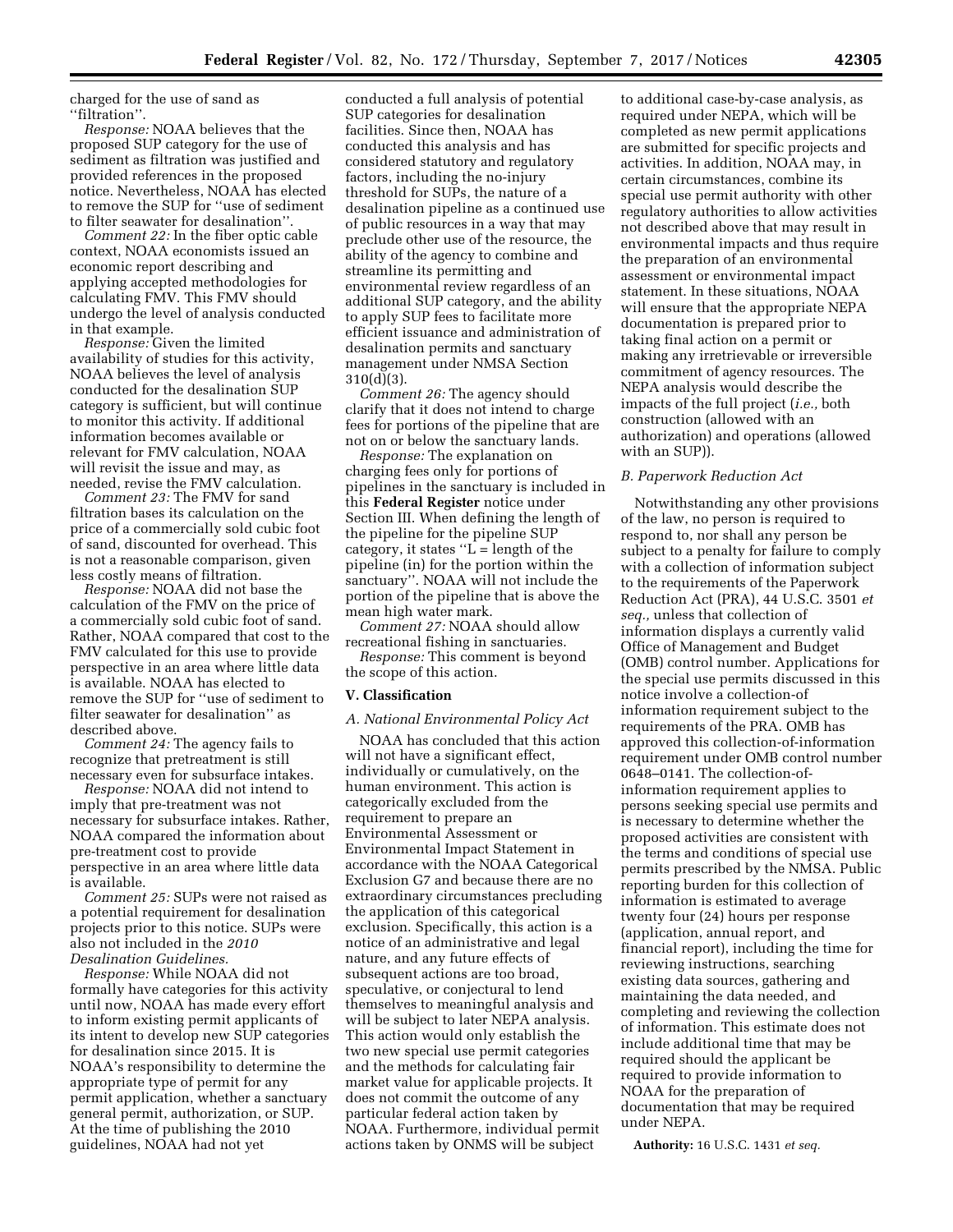charged for the use of sand as ''filtration''.

*Response:* NOAA believes that the proposed SUP category for the use of sediment as filtration was justified and provided references in the proposed notice. Nevertheless, NOAA has elected to remove the SUP for ''use of sediment to filter seawater for desalination''.

*Comment 22:* In the fiber optic cable context, NOAA economists issued an economic report describing and applying accepted methodologies for calculating FMV. This FMV should undergo the level of analysis conducted in that example.

*Response:* Given the limited availability of studies for this activity, NOAA believes the level of analysis conducted for the desalination SUP category is sufficient, but will continue to monitor this activity. If additional information becomes available or relevant for FMV calculation, NOAA will revisit the issue and may, as needed, revise the FMV calculation.

*Comment 23:* The FMV for sand filtration bases its calculation on the price of a commercially sold cubic foot of sand, discounted for overhead. This is not a reasonable comparison, given less costly means of filtration.

*Response:* NOAA did not base the calculation of the FMV on the price of a commercially sold cubic foot of sand. Rather, NOAA compared that cost to the FMV calculated for this use to provide perspective in an area where little data is available. NOAA has elected to remove the SUP for ''use of sediment to filter seawater for desalination'' as described above.

*Comment 24:* The agency fails to recognize that pretreatment is still necessary even for subsurface intakes.

*Response:* NOAA did not intend to imply that pre-treatment was not necessary for subsurface intakes. Rather, NOAA compared the information about pre-treatment cost to provide perspective in an area where little data is available.

*Comment 25:* SUPs were not raised as a potential requirement for desalination projects prior to this notice. SUPs were also not included in the *2010 Desalination Guidelines.* 

*Response:* While NOAA did not formally have categories for this activity until now, NOAA has made every effort to inform existing permit applicants of its intent to develop new SUP categories for desalination since 2015. It is NOAA's responsibility to determine the appropriate type of permit for any permit application, whether a sanctuary general permit, authorization, or SUP. At the time of publishing the 2010 guidelines, NOAA had not yet

conducted a full analysis of potential SUP categories for desalination facilities. Since then, NOAA has conducted this analysis and has considered statutory and regulatory factors, including the no-injury threshold for SUPs, the nature of a desalination pipeline as a continued use of public resources in a way that may preclude other use of the resource, the ability of the agency to combine and streamline its permitting and environmental review regardless of an additional SUP category, and the ability to apply SUP fees to facilitate more efficient issuance and administration of desalination permits and sanctuary management under NMSA Section 310(d)(3).

*Comment 26:* The agency should clarify that it does not intend to charge fees for portions of the pipeline that are not on or below the sanctuary lands.

*Response:* The explanation on charging fees only for portions of pipelines in the sanctuary is included in this **Federal Register** notice under Section III. When defining the length of the pipeline for the pipeline SUP category, it states  $'L =$  length of the pipeline (in) for the portion within the sanctuary''. NOAA will not include the portion of the pipeline that is above the mean high water mark.

*Comment 27:* NOAA should allow recreational fishing in sanctuaries.

*Response:* This comment is beyond the scope of this action.

### **V. Classification**

## *A. National Environmental Policy Act*

NOAA has concluded that this action will not have a significant effect, individually or cumulatively, on the human environment. This action is categorically excluded from the requirement to prepare an Environmental Assessment or Environmental Impact Statement in accordance with the NOAA Categorical Exclusion G7 and because there are no extraordinary circumstances precluding the application of this categorical exclusion. Specifically, this action is a notice of an administrative and legal nature, and any future effects of subsequent actions are too broad, speculative, or conjectural to lend themselves to meaningful analysis and will be subject to later NEPA analysis. This action would only establish the two new special use permit categories and the methods for calculating fair market value for applicable projects. It does not commit the outcome of any particular federal action taken by NOAA. Furthermore, individual permit actions taken by ONMS will be subject

to additional case-by-case analysis, as required under NEPA, which will be completed as new permit applications are submitted for specific projects and activities. In addition, NOAA may, in certain circumstances, combine its special use permit authority with other regulatory authorities to allow activities not described above that may result in environmental impacts and thus require the preparation of an environmental assessment or environmental impact statement. In these situations, NOAA will ensure that the appropriate NEPA documentation is prepared prior to taking final action on a permit or making any irretrievable or irreversible commitment of agency resources. The NEPA analysis would describe the impacts of the full project (*i.e.,* both construction (allowed with an authorization) and operations (allowed with an SUP)).

### *B. Paperwork Reduction Act*

Notwithstanding any other provisions of the law, no person is required to respond to, nor shall any person be subject to a penalty for failure to comply with a collection of information subject to the requirements of the Paperwork Reduction Act (PRA), 44 U.S.C. 3501 *et seq.,* unless that collection of information displays a currently valid Office of Management and Budget (OMB) control number. Applications for the special use permits discussed in this notice involve a collection-of information requirement subject to the requirements of the PRA. OMB has approved this collection-of-information requirement under OMB control number 0648–0141. The collection-ofinformation requirement applies to persons seeking special use permits and is necessary to determine whether the proposed activities are consistent with the terms and conditions of special use permits prescribed by the NMSA. Public reporting burden for this collection of information is estimated to average twenty four (24) hours per response (application, annual report, and financial report), including the time for reviewing instructions, searching existing data sources, gathering and maintaining the data needed, and completing and reviewing the collection of information. This estimate does not include additional time that may be required should the applicant be required to provide information to NOAA for the preparation of documentation that may be required under NEPA.

**Authority:** 16 U.S.C. 1431 *et seq.*